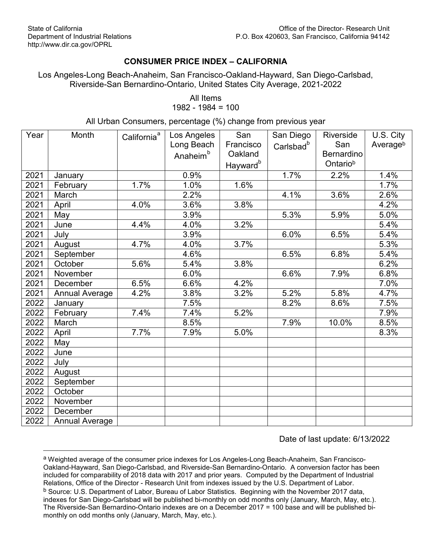$\overline{a}$ 

## **CONSUMER PRICE INDEX – CALIFORNIA**

Los Angeles-Long Beach-Anaheim, San Francisco-Oakland-Hayward, San Diego-Carlsbad, Riverside-San Bernardino-Ontario, United States City Average, 2021-2022

> <span id="page-0-0"></span>All Items 1982 - 1984 = 100

All Urban Consumers, percentage (%) change from previous year

| Year | Month                 | California <sup>ª</sup> | Los Angeles          | San                  | San Diego             | Riverside         | U.S. City |
|------|-----------------------|-------------------------|----------------------|----------------------|-----------------------|-------------------|-----------|
|      |                       |                         | Long Beach           | Francisco            | Carlsbad <sup>b</sup> | San               | Averageb  |
|      |                       |                         | Anaheim <sup>b</sup> | Oakland              |                       | <b>Bernardino</b> |           |
|      |                       |                         |                      | Hayward <sup>b</sup> |                       | Ontariob          |           |
| 2021 | January               |                         | 0.9%                 |                      | 1.7%                  | 2.2%              | 1.4%      |
| 2021 | February              | 1.7%                    | 1.0%                 | 1.6%                 |                       |                   | 1.7%      |
| 2021 | March                 |                         | 2.2%                 |                      | 4.1%                  | 3.6%              | 2.6%      |
| 2021 | April                 | 4.0%                    | 3.6%                 | 3.8%                 |                       |                   | 4.2%      |
| 2021 | May                   |                         | 3.9%                 |                      | 5.3%                  | 5.9%              | 5.0%      |
| 2021 | June                  | 4.4%                    | 4.0%                 | 3.2%                 |                       |                   | 5.4%      |
| 2021 | July                  |                         | 3.9%                 |                      | 6.0%                  | 6.5%              | 5.4%      |
| 2021 | August                | 4.7%                    | 4.0%                 | 3.7%                 |                       |                   | 5.3%      |
| 2021 | September             |                         | 4.6%                 |                      | 6.5%                  | 6.8%              | 5.4%      |
| 2021 | October               | 5.6%                    | 5.4%                 | 3.8%                 |                       |                   | 6.2%      |
| 2021 | November              |                         | 6.0%                 |                      | 6.6%                  | 7.9%              | 6.8%      |
| 2021 | December              | 6.5%                    | 6.6%                 | 4.2%                 |                       |                   | 7.0%      |
| 2021 | <b>Annual Average</b> | 4.2%                    | 3.8%                 | 3.2%                 | 5.2%                  | 5.8%              | 4.7%      |
| 2022 | January               |                         | 7.5%                 |                      | 8.2%                  | 8.6%              | 7.5%      |
| 2022 | February              | 7.4%                    | 7.4%                 | 5.2%                 |                       |                   | 7.9%      |
| 2022 | March                 |                         | 8.5%                 |                      | 7.9%                  | 10.0%             | 8.5%      |
| 2022 | April                 | 7.7%                    | 7.9%                 | 5.0%                 |                       |                   | 8.3%      |
| 2022 | May                   |                         |                      |                      |                       |                   |           |
| 2022 | June                  |                         |                      |                      |                       |                   |           |
| 2022 | July                  |                         |                      |                      |                       |                   |           |
| 2022 | August                |                         |                      |                      |                       |                   |           |
| 2022 | September             |                         |                      |                      |                       |                   |           |
| 2022 | October               |                         |                      |                      |                       |                   |           |
| 2022 | November              |                         |                      |                      |                       |                   |           |
| 2022 | December              |                         |                      |                      |                       |                   |           |
| 2022 | <b>Annual Average</b> |                         |                      |                      |                       |                   |           |

Date of last update: 6/13/2022

<span id="page-0-2"></span><span id="page-0-1"></span>a Weighted average of the consumer price indexes for Los Angeles-Long Beach-Anaheim, San Francisco-Oakland-Hayward, San Diego-Carlsbad, and Riverside-San Bernardino-Ontario. A conversion factor has been included for comparability of 2018 data with 2017 and prior years. Computed by the Department of Industrial Relations, Office of the Director - Research Unit from indexes issued by the U.S. Department of Labor. <sup>b</sup> Source: U.S. Department of Labor, Bureau of Labor Statistics. Beginning with the November 2017 data, indexes for San Diego-Carlsbad will be published bi-monthly on odd months only (January, March, May, etc.). The Riverside-San Bernardino-Ontario indexes are on a December 2017 = 100 base and will be published bimonthly on odd months only (January, March, May, etc.).